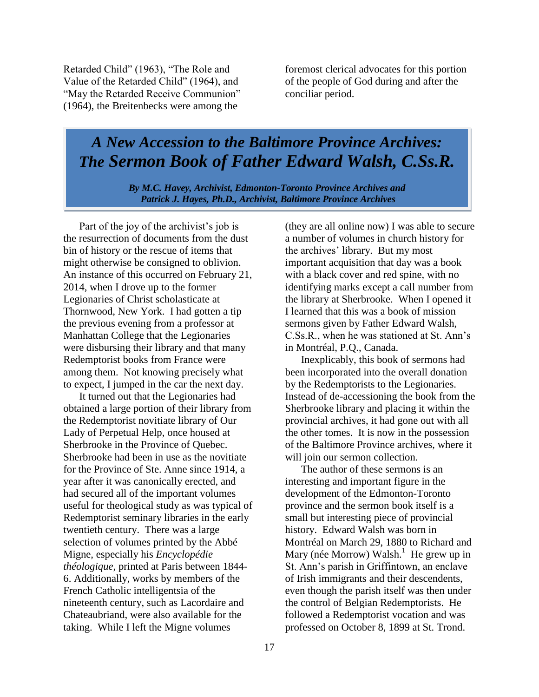Retarded Child" (1963), "The Role and Value of the Retarded Child" (1964), and "May the Retarded Receive Communion" (1964), the Breitenbecks were among the

foremost clerical advocates for this portion of the people of God during and after the conciliar period.

## *A New Accession to the Baltimore Province Archives: The Sermon Book of Father Edward Walsh, C.Ss.R.*

*By M.C. Havey, Archivist, Edmonton-Toronto Province Archives and Patrick J. Hayes, Ph.D., Archivist, Baltimore Province Archives*

Part of the joy of the archivist's job is the resurrection of documents from the dust bin of history or the rescue of items that might otherwise be consigned to oblivion. An instance of this occurred on February 21, 2014, when I drove up to the former Legionaries of Christ scholasticate at Thornwood, New York. I had gotten a tip the previous evening from a professor at Manhattan College that the Legionaries were disbursing their library and that many Redemptorist books from France were among them. Not knowing precisely what to expect, I jumped in the car the next day.

It turned out that the Legionaries had obtained a large portion of their library from the Redemptorist novitiate library of Our Lady of Perpetual Help, once housed at Sherbrooke in the Province of Quebec. Sherbrooke had been in use as the novitiate for the Province of Ste. Anne since 1914, a year after it was canonically erected, and had secured all of the important volumes useful for theological study as was typical of Redemptorist seminary libraries in the early twentieth century. There was a large selection of volumes printed by the Abbé Migne, especially his *Encyclopédie théologique*, printed at Paris between 1844- 6. Additionally, works by members of the French Catholic intelligentsia of the nineteenth century, such as Lacordaire and Chateaubriand, were also available for the taking. While I left the Migne volumes

(they are all online now) I was able to secure a number of volumes in church history for the archives' library. But my most important acquisition that day was a book with a black cover and red spine, with no identifying marks except a call number from the library at Sherbrooke. When I opened it I learned that this was a book of mission sermons given by Father Edward Walsh, C.Ss.R., when he was stationed at St. Ann's in Montréal, P.Q., Canada.

Inexplicably, this book of sermons had been incorporated into the overall donation by the Redemptorists to the Legionaries. Instead of de-accessioning the book from the Sherbrooke library and placing it within the provincial archives, it had gone out with all the other tomes. It is now in the possession of the Baltimore Province archives, where it will join our sermon collection.

The author of these sermons is an interesting and important figure in the development of the Edmonton-Toronto province and the sermon book itself is a small but interesting piece of provincial history. Edward Walsh was born in Montréal on March 29, 1880 to Richard and Mary (née Morrow) Walsh.<sup>1</sup> He grew up in St. Ann's parish in Griffintown, an enclave of Irish immigrants and their descendents, even though the parish itself was then under the control of Belgian Redemptorists. He followed a Redemptorist vocation and was professed on October 8, 1899 at St. Trond.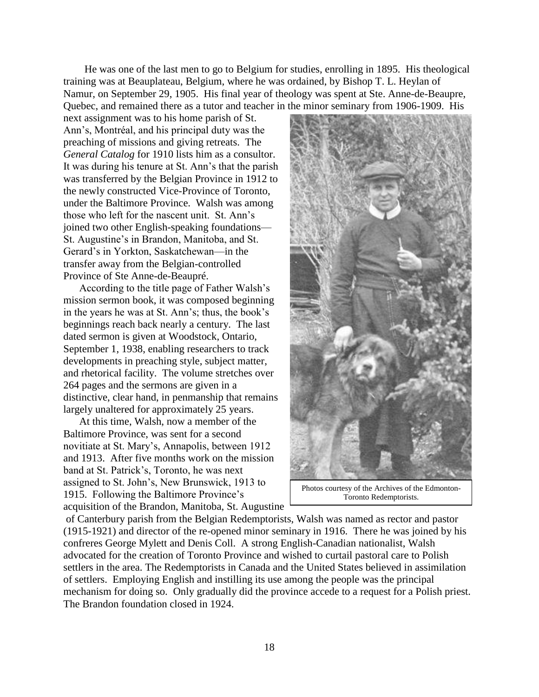He was one of the last men to go to Belgium for studies, enrolling in 1895. His theological training was at Beauplateau, Belgium, where he was ordained, by Bishop T. L. Heylan of Namur, on September 29, 1905. His final year of theology was spent at Ste. Anne-de-Beaupre, Quebec, and remained there as a tutor and teacher in the minor seminary from 1906-1909. His

next assignment was to his home parish of St. Ann's, Montréal, and his principal duty was the preaching of missions and giving retreats. The *General Catalog* for 1910 lists him as a consultor. It was during his tenure at St. Ann's that the parish was transferred by the Belgian Province in 1912 to the newly constructed Vice-Province of Toronto, under the Baltimore Province. Walsh was among those who left for the nascent unit. St. Ann's joined two other English-speaking foundations— St. Augustine's in Brandon, Manitoba, and St. Gerard's in Yorkton, Saskatchewan—in the transfer away from the Belgian-controlled Province of Ste Anne-de-Beaupré.

According to the title page of Father Walsh's mission sermon book, it was composed beginning in the years he was at St. Ann's; thus, the book's beginnings reach back nearly a century. The last dated sermon is given at Woodstock, Ontario, September 1, 1938, enabling researchers to track developments in preaching style, subject matter, and rhetorical facility. The volume stretches over 264 pages and the sermons are given in a distinctive, clear hand, in penmanship that remains largely unaltered for approximately 25 years.

At this time, Walsh, now a member of the Baltimore Province, was sent for a second novitiate at St. Mary's, Annapolis, between 1912 and 1913. After five months work on the mission band at St. Patrick's, Toronto, he was next assigned to St. John's, New Brunswick, 1913 to 1915. Following the Baltimore Province's acquisition of the Brandon, Manitoba, St. Augustine



Photos courtesy of the Archives of the Edmonton-Toronto Redemptorists.

of Canterbury parish from the Belgian Redemptorists, Walsh was named as rector and pastor (1915-1921) and director of the re-opened minor seminary in 1916. There he was joined by his confreres George Mylett and Denis Coll. A strong English-Canadian nationalist, Walsh advocated for the creation of Toronto Province and wished to curtail pastoral care to Polish settlers in the area. The Redemptorists in Canada and the United States believed in assimilation of settlers. Employing English and instilling its use among the people was the principal mechanism for doing so. Only gradually did the province accede to a request for a Polish priest. The Brandon foundation closed in 1924.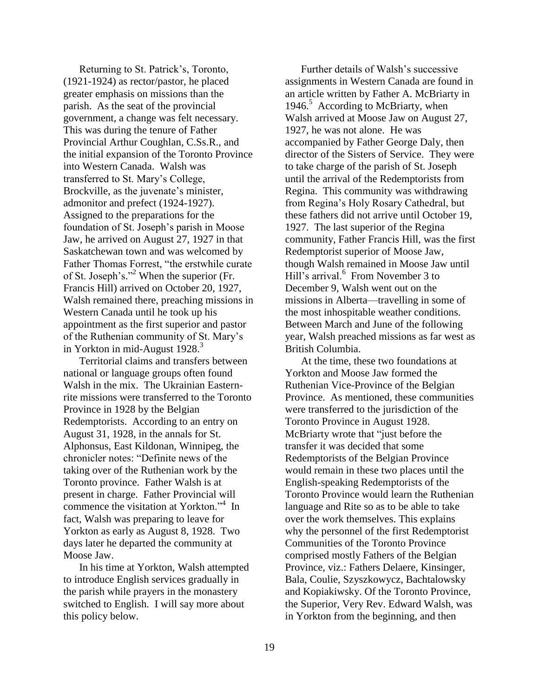Returning to St. Patrick's, Toronto, (1921-1924) as rector/pastor, he placed greater emphasis on missions than the parish. As the seat of the provincial government, a change was felt necessary. This was during the tenure of Father Provincial Arthur Coughlan, C.Ss.R., and the initial expansion of the Toronto Province into Western Canada. Walsh was transferred to St. Mary's College, Brockville, as the juvenate's minister, admonitor and prefect (1924-1927). Assigned to the preparations for the foundation of St. Joseph's parish in Moose Jaw, he arrived on August 27, 1927 in that Saskatchewan town and was welcomed by Father Thomas Forrest, "the erstwhile curate of St. Joseph's."<sup>2</sup> When the superior (Fr. Francis Hill) arrived on October 20, 1927, Walsh remained there, preaching missions in Western Canada until he took up his appointment as the first superior and pastor of the Ruthenian community of St. Mary's in Yorkton in mid-August  $1928$ <sup>3</sup>

Territorial claims and transfers between national or language groups often found Walsh in the mix. The Ukrainian Easternrite missions were transferred to the Toronto Province in 1928 by the Belgian Redemptorists. According to an entry on August 31, 1928, in the annals for St. Alphonsus, East Kildonan, Winnipeg, the chronicler notes: "Definite news of the taking over of the Ruthenian work by the Toronto province. Father Walsh is at present in charge. Father Provincial will commence the visitation at Yorkton."<sup>4</sup> In fact, Walsh was preparing to leave for Yorkton as early as August 8, 1928. Two days later he departed the community at Moose Jaw.

In his time at Yorkton, Walsh attempted to introduce English services gradually in the parish while prayers in the monastery switched to English. I will say more about this policy below.

Further details of Walsh's successive assignments in Western Canada are found in an article written by Father A. McBriarty in 1946.<sup>5</sup> According to McBriarty, when Walsh arrived at Moose Jaw on August 27, 1927, he was not alone. He was accompanied by Father George Daly, then director of the Sisters of Service. They were to take charge of the parish of St. Joseph until the arrival of the Redemptorists from Regina. This community was withdrawing from Regina's Holy Rosary Cathedral, but these fathers did not arrive until October 19, 1927. The last superior of the Regina community, Father Francis Hill, was the first Redemptorist superior of Moose Jaw, though Walsh remained in Moose Jaw until Hill's arrival.<sup>6</sup> From November 3 to December 9, Walsh went out on the missions in Alberta—travelling in some of the most inhospitable weather conditions. Between March and June of the following year, Walsh preached missions as far west as British Columbia.

At the time, these two foundations at Yorkton and Moose Jaw formed the Ruthenian Vice-Province of the Belgian Province. As mentioned, these communities were transferred to the jurisdiction of the Toronto Province in August 1928. McBriarty wrote that "just before the transfer it was decided that some Redemptorists of the Belgian Province would remain in these two places until the English-speaking Redemptorists of the Toronto Province would learn the Ruthenian language and Rite so as to be able to take over the work themselves. This explains why the personnel of the first Redemptorist Communities of the Toronto Province comprised mostly Fathers of the Belgian Province, viz.: Fathers Delaere, Kinsinger, Bala, Coulie, Szyszkowycz, Bachtalowsky and Kopiakiwsky. Of the Toronto Province, the Superior, Very Rev. Edward Walsh, was in Yorkton from the beginning, and then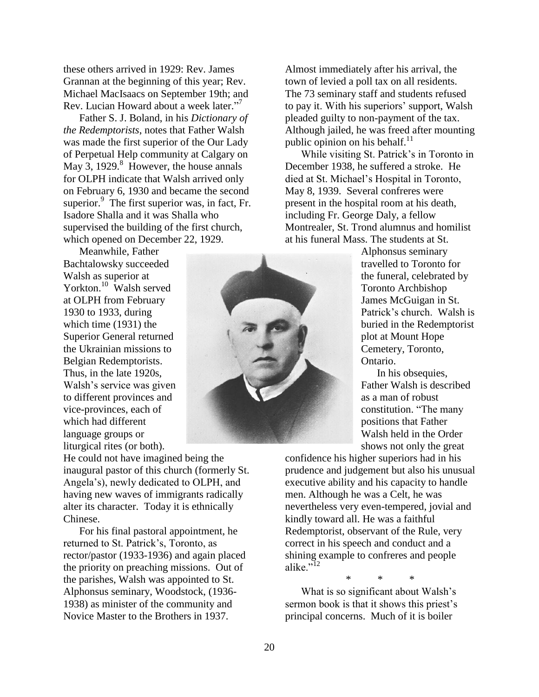these others arrived in 1929: Rev. James Grannan at the beginning of this year; Rev. Michael MacIsaacs on September 19th; and Rev. Lucian Howard about a week later." 7

Father S. J. Boland, in his *Dictionary of the Redemptorists*, notes that Father Walsh was made the first superior of the Our Lady of Perpetual Help community at Calgary on May 3, 1929. $8$  However, the house annals for OLPH indicate that Walsh arrived only on February 6, 1930 and became the second superior. $\frac{9}{5}$  The first superior was, in fact, Fr. Isadore Shalla and it was Shalla who supervised the building of the first church, which opened on December 22, 1929.

Meanwhile, Father Bachtalowsky succeeded Walsh as superior at Yorkton.<sup>10</sup> Walsh served at OLPH from February 1930 to 1933, during which time (1931) the Superior General returned the Ukrainian missions to Belgian Redemptorists. Thus, in the late 1920s, Walsh's service was given to different provinces and vice-provinces, each of which had different language groups or liturgical rites (or both).

He could not have imagined being the inaugural pastor of this church (formerly St. Angela's), newly dedicated to OLPH, and having new waves of immigrants radically alter its character. Today it is ethnically Chinese.

For his final pastoral appointment, he returned to St. Patrick's, Toronto, as rector/pastor (1933-1936) and again placed the priority on preaching missions. Out of the parishes, Walsh was appointed to St. Alphonsus seminary, Woodstock, (1936- 1938) as minister of the community and Novice Master to the Brothers in 1937.

Almost immediately after his arrival, the town of levied a poll tax on all residents. The 73 seminary staff and students refused to pay it. With his superiors' support, Walsh pleaded guilty to non-payment of the tax. Although jailed, he was freed after mounting public opinion on his behalf. $11$ 

While visiting St. Patrick's in Toronto in December 1938, he suffered a stroke. He died at St. Michael's Hospital in Toronto, May 8, 1939. Several confreres were present in the hospital room at his death, including Fr. George Daly, a fellow Montrealer, St. Trond alumnus and homilist at his funeral Mass. The students at St.

Alphonsus seminary travelled to Toronto for the funeral, celebrated by Toronto Archbishop James McGuigan in St. Patrick's church. Walsh is buried in the Redemptorist plot at Mount Hope Cemetery, Toronto, Ontario.

In his obsequies, Father Walsh is described as a man of robust constitution. "The many positions that Father Walsh held in the Order shows not only the great

confidence his higher superiors had in his prudence and judgement but also his unusual executive ability and his capacity to handle men. Although he was a Celt, he was nevertheless very even-tempered, jovial and kindly toward all. He was a faithful Redemptorist, observant of the Rule, very correct in his speech and conduct and a shining example to confreres and people alike."<sup>12</sup>

\* \* \*

What is so significant about Walsh's sermon book is that it shows this priest's principal concerns. Much of it is boiler

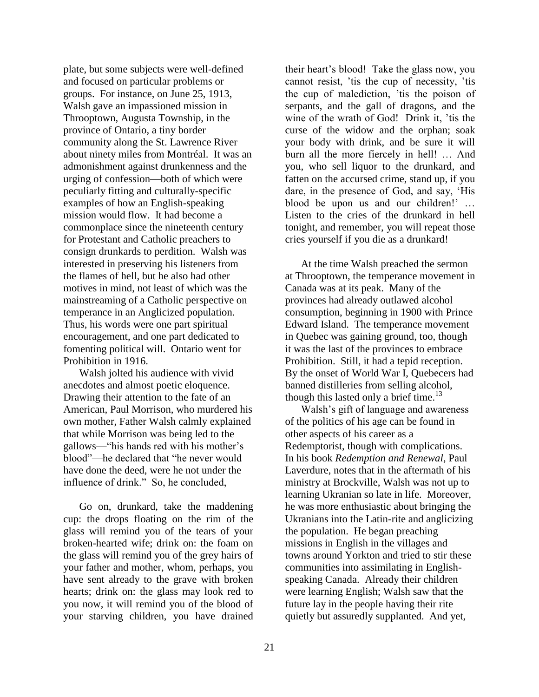plate, but some subjects were well-defined and focused on particular problems or groups. For instance, on June 25, 1913, Walsh gave an impassioned mission in Throoptown, Augusta Township, in the province of Ontario, a tiny border community along the St. Lawrence River about ninety miles from Montréal. It was an admonishment against drunkenness and the urging of confession—both of which were peculiarly fitting and culturally-specific examples of how an English-speaking mission would flow. It had become a commonplace since the nineteenth century for Protestant and Catholic preachers to consign drunkards to perdition. Walsh was interested in preserving his listeners from the flames of hell, but he also had other motives in mind, not least of which was the mainstreaming of a Catholic perspective on temperance in an Anglicized population. Thus, his words were one part spiritual encouragement, and one part dedicated to fomenting political will. Ontario went for Prohibition in 1916.

Walsh jolted his audience with vivid anecdotes and almost poetic eloquence. Drawing their attention to the fate of an American, Paul Morrison, who murdered his own mother, Father Walsh calmly explained that while Morrison was being led to the gallows—"his hands red with his mother's blood"—he declared that "he never would have done the deed, were he not under the influence of drink." So, he concluded,

Go on, drunkard, take the maddening cup: the drops floating on the rim of the glass will remind you of the tears of your broken-hearted wife; drink on: the foam on the glass will remind you of the grey hairs of your father and mother, whom, perhaps, you have sent already to the grave with broken hearts; drink on: the glass may look red to you now, it will remind you of the blood of your starving children, you have drained

their heart's blood! Take the glass now, you cannot resist, 'tis the cup of necessity, 'tis the cup of malediction, 'tis the poison of serpants, and the gall of dragons, and the wine of the wrath of God! Drink it, 'tis the curse of the widow and the orphan; soak your body with drink, and be sure it will burn all the more fiercely in hell! … And you, who sell liquor to the drunkard, and fatten on the accursed crime, stand up, if you dare, in the presence of God, and say, 'His blood be upon us and our children!' … Listen to the cries of the drunkard in hell tonight, and remember, you will repeat those cries yourself if you die as a drunkard!

At the time Walsh preached the sermon at Throoptown, the temperance movement in Canada was at its peak. Many of the provinces had already outlawed alcohol consumption, beginning in 1900 with Prince Edward Island. The temperance movement in Quebec was gaining ground, too, though it was the last of the provinces to embrace Prohibition. Still, it had a tepid reception. By the onset of World War I, Quebecers had banned distilleries from selling alcohol, though this lasted only a brief time.<sup>13</sup>

Walsh's gift of language and awareness of the politics of his age can be found in other aspects of his career as a Redemptorist, though with complications. In his book *Redemption and Renewal*, Paul Laverdure, notes that in the aftermath of his ministry at Brockville, Walsh was not up to learning Ukranian so late in life. Moreover, he was more enthusiastic about bringing the Ukranians into the Latin-rite and anglicizing the population. He began preaching missions in English in the villages and towns around Yorkton and tried to stir these communities into assimilating in Englishspeaking Canada. Already their children were learning English; Walsh saw that the future lay in the people having their rite quietly but assuredly supplanted. And yet,